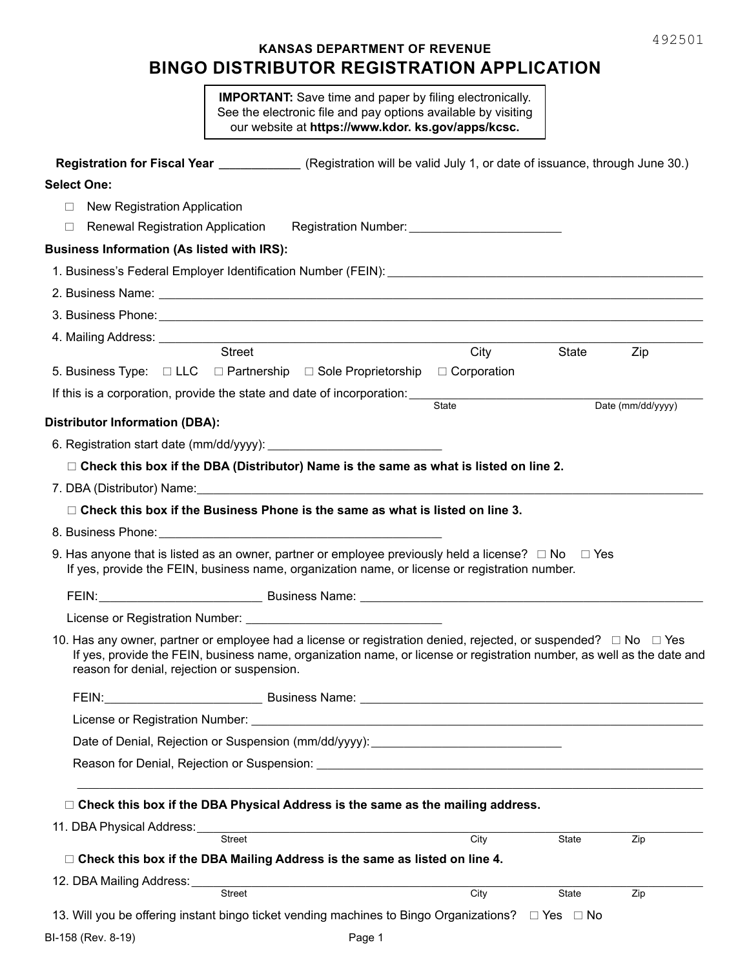# **KANSAS DEPARTMENT OF REVENUE BINGO DISTRIBUTOR REGISTRATION APPLICATION**

**IMPORTANT:** Save time and paper by filing electronically. See the electronic file and pay options available by visiting our website at **https://www.kdor. ks.gov/apps/kcsc.**

| Registration for Fiscal Year ______________ (Registration will be valid July 1, or date of issuance, through June 30.)                                                                                                                                                                             |        |       |              |                   |
|----------------------------------------------------------------------------------------------------------------------------------------------------------------------------------------------------------------------------------------------------------------------------------------------------|--------|-------|--------------|-------------------|
| <b>Select One:</b>                                                                                                                                                                                                                                                                                 |        |       |              |                   |
| New Registration Application<br>П.                                                                                                                                                                                                                                                                 |        |       |              |                   |
| Renewal Registration Application Registration Number: __________________________<br>П                                                                                                                                                                                                              |        |       |              |                   |
| <b>Business Information (As listed with IRS):</b>                                                                                                                                                                                                                                                  |        |       |              |                   |
|                                                                                                                                                                                                                                                                                                    |        |       |              |                   |
| 2. Business Name: <u>Communications</u> Contract and Contract Contract Contract Contract Contract Contract Contract Contract Contract Contract Contract Contract Contract Contract Contract Contract Contract Contract Contract Con                                                                |        |       |              |                   |
| 3. Business Phone: <u>Communications and Communications and Communications and Communications and Communications</u>                                                                                                                                                                               |        |       |              |                   |
|                                                                                                                                                                                                                                                                                                    |        |       |              |                   |
| Street                                                                                                                                                                                                                                                                                             |        | City  | State        | Zip               |
| 5. Business Type: $\Box$ LLC $\Box$ Partnership $\Box$ Sole Proprietorship $\Box$ Corporation                                                                                                                                                                                                      |        |       |              |                   |
| If this is a corporation, provide the state and date of incorporation:                                                                                                                                                                                                                             |        | State |              | Date (mm/dd/yyyy) |
| <b>Distributor Information (DBA):</b>                                                                                                                                                                                                                                                              |        |       |              |                   |
|                                                                                                                                                                                                                                                                                                    |        |       |              |                   |
| $\Box$ Check this box if the DBA (Distributor) Name is the same as what is listed on line 2.                                                                                                                                                                                                       |        |       |              |                   |
|                                                                                                                                                                                                                                                                                                    |        |       |              |                   |
| $\Box$ Check this box if the Business Phone is the same as what is listed on line 3.                                                                                                                                                                                                               |        |       |              |                   |
|                                                                                                                                                                                                                                                                                                    |        |       |              |                   |
| 9. Has anyone that is listed as an owner, partner or employee previously held a license? $\Box$ No $\Box$ Yes<br>If yes, provide the FEIN, business name, organization name, or license or registration number.                                                                                    |        |       |              |                   |
| FEIN: <u>Contract Communication</u> Business Name: Communication Communication Communication Communication Communication                                                                                                                                                                           |        |       |              |                   |
|                                                                                                                                                                                                                                                                                                    |        |       |              |                   |
| 10. Has any owner, partner or employee had a license or registration denied, rejected, or suspended? $\Box$ No $\Box$ Yes<br>If yes, provide the FEIN, business name, organization name, or license or registration number, as well as the date and<br>reason for denial, rejection or suspension. |        |       |              |                   |
| FEIN:                                                                                                                                                                                                                                                                                              |        |       |              |                   |
|                                                                                                                                                                                                                                                                                                    |        |       |              |                   |
| Date of Denial, Rejection or Suspension (mm/dd/yyyy): __________________________                                                                                                                                                                                                                   |        |       |              |                   |
|                                                                                                                                                                                                                                                                                                    |        |       |              |                   |
|                                                                                                                                                                                                                                                                                                    |        |       |              |                   |
| □ Check this box if the DBA Physical Address is the same as the mailing address.                                                                                                                                                                                                                   |        |       |              |                   |
|                                                                                                                                                                                                                                                                                                    |        |       |              |                   |
| Street                                                                                                                                                                                                                                                                                             |        | City  | State        | Zip               |
| □ Check this box if the DBA Mailing Address is the same as listed on line 4.                                                                                                                                                                                                                       |        |       |              |                   |
| Street                                                                                                                                                                                                                                                                                             |        | City  | <b>State</b> | Zip               |
| 13. Will you be offering instant bingo ticket vending machines to Bingo Organizations? □ Yes □ No                                                                                                                                                                                                  |        |       |              |                   |
| BI-158 (Rev. 8-19)                                                                                                                                                                                                                                                                                 | Page 1 |       |              |                   |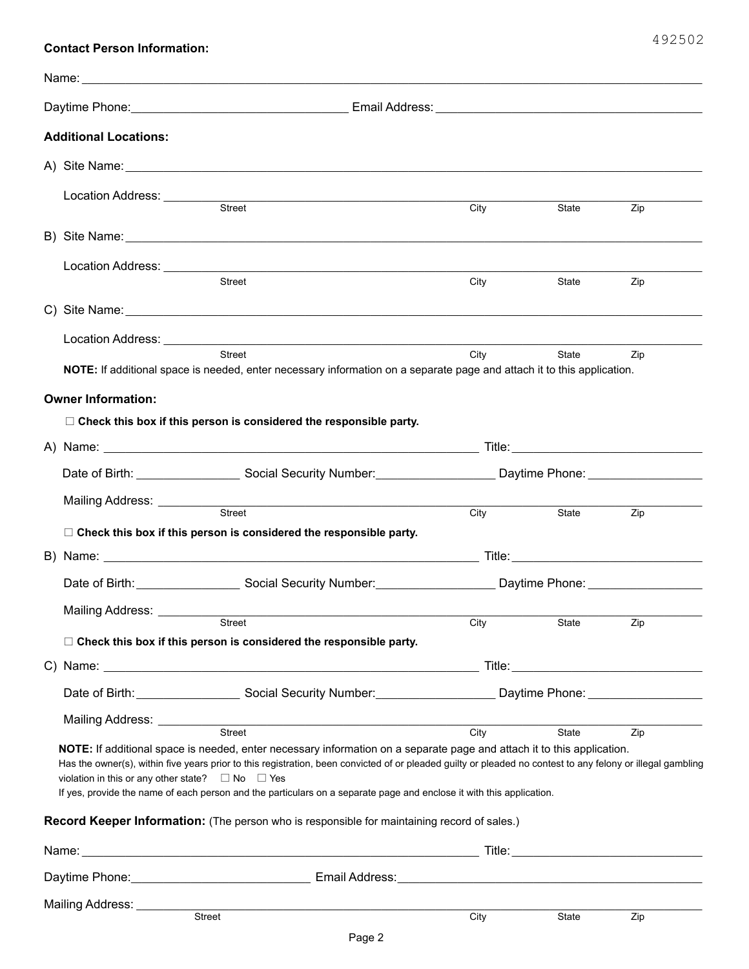## **Contact Person Information:**

| <b>Additional Locations:</b>                                     |                                                                                                                                                                                                                                                                                                                                                                                                               |                                                                                                                                        |       |     |
|------------------------------------------------------------------|---------------------------------------------------------------------------------------------------------------------------------------------------------------------------------------------------------------------------------------------------------------------------------------------------------------------------------------------------------------------------------------------------------------|----------------------------------------------------------------------------------------------------------------------------------------|-------|-----|
|                                                                  |                                                                                                                                                                                                                                                                                                                                                                                                               |                                                                                                                                        |       |     |
|                                                                  |                                                                                                                                                                                                                                                                                                                                                                                                               | City                                                                                                                                   | State | Zip |
|                                                                  |                                                                                                                                                                                                                                                                                                                                                                                                               |                                                                                                                                        |       |     |
|                                                                  | <b>Street</b>                                                                                                                                                                                                                                                                                                                                                                                                 | City                                                                                                                                   | State | Zip |
|                                                                  |                                                                                                                                                                                                                                                                                                                                                                                                               |                                                                                                                                        |       |     |
|                                                                  | Street<br>NOTE: If additional space is needed, enter necessary information on a separate page and attach it to this application.                                                                                                                                                                                                                                                                              | City                                                                                                                                   | State | Zip |
| <b>Owner Information:</b>                                        |                                                                                                                                                                                                                                                                                                                                                                                                               |                                                                                                                                        |       |     |
|                                                                  | $\Box$ Check this box if this person is considered the responsible party.                                                                                                                                                                                                                                                                                                                                     |                                                                                                                                        |       |     |
|                                                                  |                                                                                                                                                                                                                                                                                                                                                                                                               |                                                                                                                                        |       |     |
|                                                                  |                                                                                                                                                                                                                                                                                                                                                                                                               |                                                                                                                                        |       |     |
| Mailing Address: __________                                      | <u> 1989 - Johann Barbara, martxa alemaniar amerikan basar da a</u><br>Street                                                                                                                                                                                                                                                                                                                                 | <b>City</b>                                                                                                                            | State | Zip |
|                                                                  | $\Box$ Check this box if this person is considered the responsible party.                                                                                                                                                                                                                                                                                                                                     |                                                                                                                                        |       |     |
|                                                                  |                                                                                                                                                                                                                                                                                                                                                                                                               |                                                                                                                                        |       |     |
|                                                                  |                                                                                                                                                                                                                                                                                                                                                                                                               | Date of Birth: __________________________Social Security Number: ________________________Daytime Phone: ______________________________ |       |     |
|                                                                  | Mailing Address: <u>Constantine Street</u>                                                                                                                                                                                                                                                                                                                                                                    | City                                                                                                                                   | State | Zip |
|                                                                  | $\Box$ Check this box if this person is considered the responsible party.                                                                                                                                                                                                                                                                                                                                     |                                                                                                                                        |       |     |
|                                                                  |                                                                                                                                                                                                                                                                                                                                                                                                               |                                                                                                                                        |       |     |
|                                                                  |                                                                                                                                                                                                                                                                                                                                                                                                               |                                                                                                                                        |       |     |
|                                                                  | Mailing Address: <u>Street Street Street Street Street Street Street Street Street Street Street Street Street Street Street Street Street Street Street Street Street Street Street Street Street Street Street Street Street S</u>                                                                                                                                                                          | City                                                                                                                                   | State | Zip |
| violation in this or any other state? $\square$ No $\square$ Yes | NOTE: If additional space is needed, enter necessary information on a separate page and attach it to this application.<br>Has the owner(s), within five years prior to this registration, been convicted of or pleaded guilty or pleaded no contest to any felony or illegal gambling<br>If yes, provide the name of each person and the particulars on a separate page and enclose it with this application. |                                                                                                                                        |       |     |
|                                                                  | Record Keeper Information: (The person who is responsible for maintaining record of sales.)                                                                                                                                                                                                                                                                                                                   |                                                                                                                                        |       |     |
|                                                                  |                                                                                                                                                                                                                                                                                                                                                                                                               |                                                                                                                                        |       |     |
|                                                                  |                                                                                                                                                                                                                                                                                                                                                                                                               |                                                                                                                                        |       |     |
| Mailing Address: ________                                        | Street                                                                                                                                                                                                                                                                                                                                                                                                        | City                                                                                                                                   | State | Zip |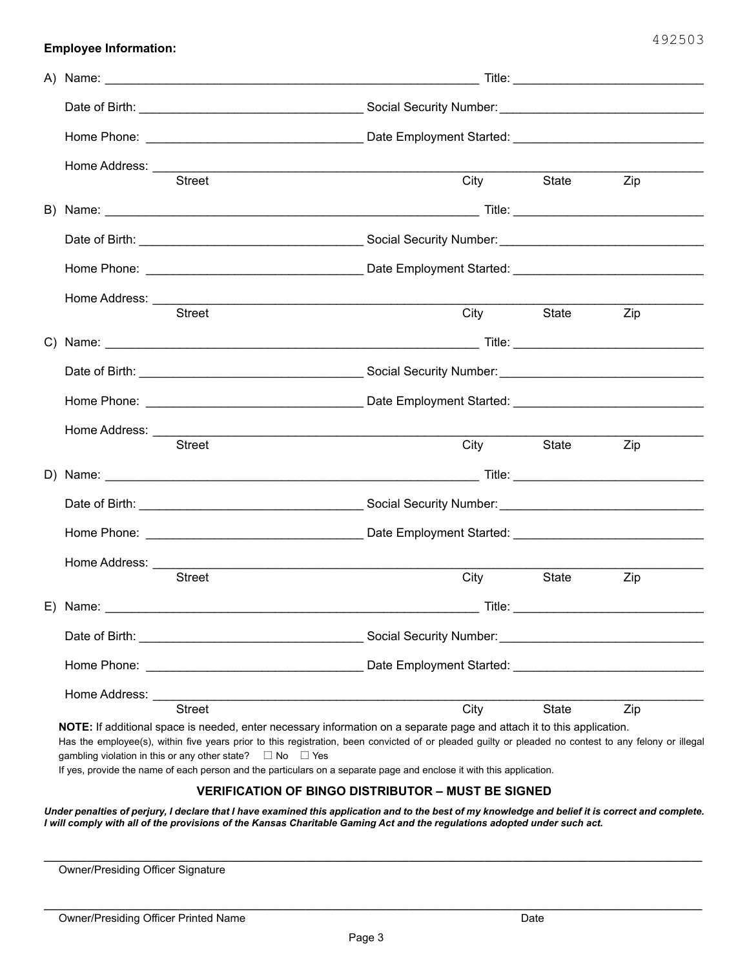|                                                                                                                                                                                                                                                                                                                                                                                                                                                                                | Home Address: ___________ |                                                                                                                                                                                                                                |      |                |     |  |
|--------------------------------------------------------------------------------------------------------------------------------------------------------------------------------------------------------------------------------------------------------------------------------------------------------------------------------------------------------------------------------------------------------------------------------------------------------------------------------|---------------------------|--------------------------------------------------------------------------------------------------------------------------------------------------------------------------------------------------------------------------------|------|----------------|-----|--|
|                                                                                                                                                                                                                                                                                                                                                                                                                                                                                |                           | Street                                                                                                                                                                                                                         |      | City State Zip |     |  |
|                                                                                                                                                                                                                                                                                                                                                                                                                                                                                |                           |                                                                                                                                                                                                                                |      |                |     |  |
|                                                                                                                                                                                                                                                                                                                                                                                                                                                                                |                           |                                                                                                                                                                                                                                |      |                |     |  |
|                                                                                                                                                                                                                                                                                                                                                                                                                                                                                |                           |                                                                                                                                                                                                                                |      |                |     |  |
|                                                                                                                                                                                                                                                                                                                                                                                                                                                                                | Home Address: ___________ |                                                                                                                                                                                                                                |      |                |     |  |
|                                                                                                                                                                                                                                                                                                                                                                                                                                                                                |                           | <b>Street</b>                                                                                                                                                                                                                  |      | City State Zip |     |  |
|                                                                                                                                                                                                                                                                                                                                                                                                                                                                                |                           |                                                                                                                                                                                                                                |      |                |     |  |
|                                                                                                                                                                                                                                                                                                                                                                                                                                                                                |                           |                                                                                                                                                                                                                                |      |                |     |  |
|                                                                                                                                                                                                                                                                                                                                                                                                                                                                                |                           |                                                                                                                                                                                                                                |      |                |     |  |
|                                                                                                                                                                                                                                                                                                                                                                                                                                                                                |                           |                                                                                                                                                                                                                                |      |                |     |  |
|                                                                                                                                                                                                                                                                                                                                                                                                                                                                                |                           | <b>Street</b>                                                                                                                                                                                                                  |      | City State Zip |     |  |
|                                                                                                                                                                                                                                                                                                                                                                                                                                                                                |                           |                                                                                                                                                                                                                                |      |                |     |  |
|                                                                                                                                                                                                                                                                                                                                                                                                                                                                                |                           |                                                                                                                                                                                                                                |      |                |     |  |
|                                                                                                                                                                                                                                                                                                                                                                                                                                                                                |                           |                                                                                                                                                                                                                                |      |                |     |  |
|                                                                                                                                                                                                                                                                                                                                                                                                                                                                                | Home Address: ___________ |                                                                                                                                                                                                                                |      |                |     |  |
|                                                                                                                                                                                                                                                                                                                                                                                                                                                                                |                           | <b>Street</b>                                                                                                                                                                                                                  |      | City State     | Zip |  |
|                                                                                                                                                                                                                                                                                                                                                                                                                                                                                |                           | E) Name: Title: Title: Title: Title: Title: Title: Title: Title: Title: Title: Title: Title: Title: Title: Title: Title: Title: Title: Title: Title: Title: Title: Title: Title: Title: Title: Title: Title: Title: Title: Tit |      |                |     |  |
|                                                                                                                                                                                                                                                                                                                                                                                                                                                                                |                           |                                                                                                                                                                                                                                |      |                |     |  |
|                                                                                                                                                                                                                                                                                                                                                                                                                                                                                |                           |                                                                                                                                                                                                                                |      |                |     |  |
|                                                                                                                                                                                                                                                                                                                                                                                                                                                                                |                           | Home Address: No. 1994. The Contract of the Address of the Address of the Address of the Address of the Address of the Address of the Address of the Address of the Address of the Address of the Address of the Address of th |      |                |     |  |
|                                                                                                                                                                                                                                                                                                                                                                                                                                                                                |                           | <b>Street</b>                                                                                                                                                                                                                  | City | State          | Zip |  |
| NOTE: If additional space is needed, enter necessary information on a separate page and attach it to this application.<br>Has the employee(s), within five years prior to this registration, been convicted of or pleaded guilty or pleaded no contest to any felony or illegal<br>gambling violation in this or any other state? $\Box$ No $\Box$ Yes<br>If yes, provide the name of each person and the particulars on a separate page and enclose it with this application. |                           |                                                                                                                                                                                                                                |      |                |     |  |

## **VERIFICATION OF BINGO DISTRIBUTOR – MUST BE SIGNED**

*Under penalties of perjury, I declare that I have examined this application and to the best of my knowledge and belief it is correct and complete. I will comply with all of the provisions of the Kansas Charitable Gaming Act and the regulations adopted under such act.*

**\_\_\_\_\_\_\_\_\_\_\_\_\_\_\_\_\_\_\_\_\_\_\_\_\_\_\_\_\_\_\_\_\_\_\_\_\_\_\_\_\_\_\_\_\_\_\_\_\_\_\_\_\_\_\_\_\_\_\_\_\_\_\_\_\_\_\_\_\_\_\_\_\_\_\_\_\_\_\_\_\_\_\_\_\_\_\_\_\_\_\_\_\_\_\_\_\_\_\_\_\_\_\_\_\_\_\_\_\_\_\_\_\_\_\_\_\_\_\_\_\_**

**\_\_\_\_\_\_\_\_\_\_\_\_\_\_\_\_\_\_\_\_\_\_\_\_\_\_\_\_\_\_\_\_\_\_\_\_\_\_\_\_\_\_\_\_\_\_\_\_\_\_\_\_\_\_\_\_\_\_\_\_\_\_\_\_\_\_\_\_\_\_\_\_\_\_\_\_\_\_\_\_\_\_\_\_\_\_\_\_\_\_\_\_\_\_\_\_\_\_\_\_\_\_\_\_\_\_\_\_\_\_\_\_\_\_\_\_\_\_\_\_\_**

Owner/Presiding Officer Signature